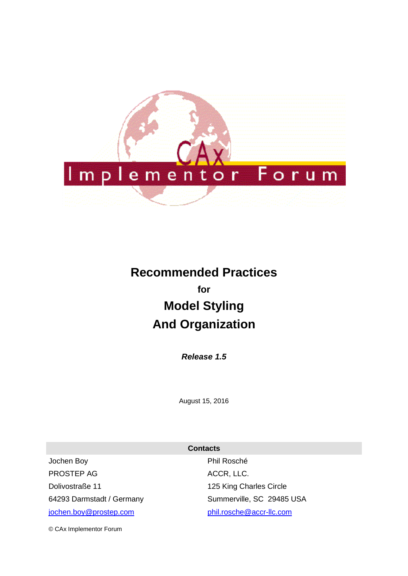

# **Recommended Practices for Model Styling And Organization**

*Release 1.5*

August 15, 2016

|                           | <b>Contacts</b>           |
|---------------------------|---------------------------|
| Jochen Boy                | Phil Rosché               |
| PROSTEP AG                | ACCR, LLC.                |
| Dolivostraße 11           | 125 King Charles Circle   |
| 64293 Darmstadt / Germany | Summerville, SC 29485 USA |
| jochen.boy@prostep.com    | phil.rosche@accr-llc.com  |

© CAx Implementor Forum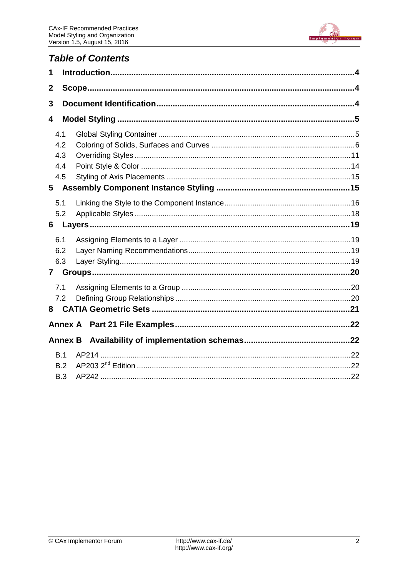

# **Table of Contents**

| 1            |                |  |  |
|--------------|----------------|--|--|
| $\mathbf{2}$ |                |  |  |
| 3            |                |  |  |
| 4            |                |  |  |
| 4.1          |                |  |  |
| 4.2          |                |  |  |
| 4.3          |                |  |  |
| 4.4          |                |  |  |
| 4.5          |                |  |  |
| 5            |                |  |  |
| 5.1          |                |  |  |
| 5.2          |                |  |  |
| 6            |                |  |  |
| 6.1          |                |  |  |
| 6.2          |                |  |  |
| 6.3          |                |  |  |
| $\mathbf{7}$ |                |  |  |
| 7.1          |                |  |  |
| 7.2          |                |  |  |
| 8            |                |  |  |
|              | <b>Annex A</b> |  |  |
|              | <b>Annex B</b> |  |  |
| B.1          |                |  |  |
| B.2          |                |  |  |
| B.3          |                |  |  |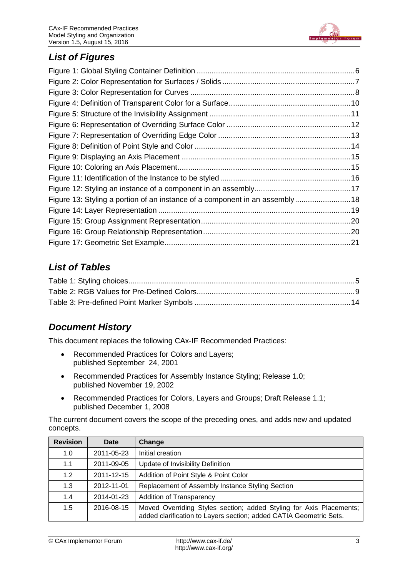

# *List of Figures*

| Figure 13: Styling a portion of an instance of a component in an assembly18 |
|-----------------------------------------------------------------------------|
|                                                                             |
|                                                                             |
|                                                                             |
|                                                                             |
|                                                                             |

# *List of Tables*

# *Document History*

This document replaces the following CAx-IF Recommended Practices:

- Recommended Practices for Colors and Layers; published September 24, 2001
- Recommended Practices for Assembly Instance Styling; Release 1.0; published November 19, 2002
- Recommended Practices for Colors, Layers and Groups; Draft Release 1.1; published December 1, 2008

The current document covers the scope of the preceding ones, and adds new and updated concepts.

| <b>Revision</b> | Date       | Change                                                                                                                                    |
|-----------------|------------|-------------------------------------------------------------------------------------------------------------------------------------------|
| 1.0             | 2011-05-23 | Initial creation                                                                                                                          |
| 1.1             | 2011-09-05 | Update of Invisibility Definition                                                                                                         |
| 1.2             | 2011-12-15 | Addition of Point Style & Point Color                                                                                                     |
| 1.3             | 2012-11-01 | Replacement of Assembly Instance Styling Section                                                                                          |
| 1.4             | 2014-01-23 | <b>Addition of Transparency</b>                                                                                                           |
| 1.5             | 2016-08-15 | Moved Overriding Styles section; added Styling for Axis Placements;<br>added clarification to Layers section; added CATIA Geometric Sets. |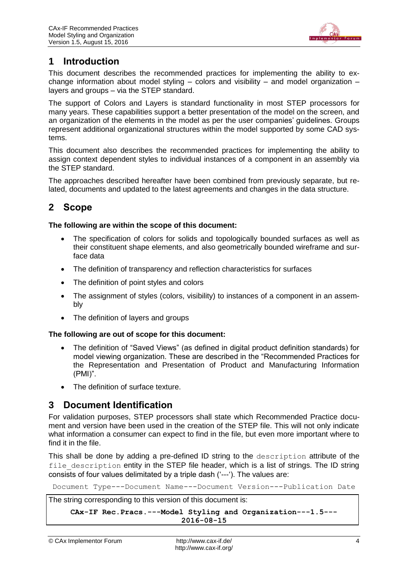

# <span id="page-3-0"></span>**1 Introduction**

This document describes the recommended practices for implementing the ability to exchange information about model styling  $-$  colors and visibility  $-$  and model organization  $$ layers and groups – via the STEP standard.

The support of Colors and Layers is standard functionality in most STEP processors for many years. These capabilities support a better presentation of the model on the screen, and an organization of the elements in the model as per the user companies' guidelines. Groups represent additional organizational structures within the model supported by some CAD systems.

This document also describes the recommended practices for implementing the ability to assign context dependent styles to individual instances of a component in an assembly via the STEP standard.

The approaches described hereafter have been combined from previously separate, but related, documents and updated to the latest agreements and changes in the data structure.

# <span id="page-3-1"></span>**2 Scope**

#### **The following are within the scope of this document:**

- The specification of colors for solids and topologically bounded surfaces as well as their constituent shape elements, and also geometrically bounded wireframe and surface data
- The definition of transparency and reflection characteristics for surfaces
- The definition of point styles and colors
- The assignment of styles (colors, visibility) to instances of a component in an assembly
- The definition of layers and groups

#### **The following are out of scope for this document:**

- The definition of "Saved Views" (as defined in digital product definition standards) for model viewing organization. These are described in the "Recommended Practices for the Representation and Presentation of Product and Manufacturing Information (PMI)".
- The definition of surface texture.

# <span id="page-3-2"></span>**3 Document Identification**

For validation purposes, STEP processors shall state which Recommended Practice document and version have been used in the creation of the STEP file. This will not only indicate what information a consumer can expect to find in the file, but even more important where to find it in the file.

This shall be done by adding a pre-defined ID string to the description attribute of the file description entity in the STEP file header, which is a list of strings. The ID string consists of four values delimitated by a triple dash ('---'). The values are:

Document Type---Document Name---Document Version---Publication Date

The string corresponding to this version of this document is:

**CAx-IF Rec.Pracs.---Model Styling and Organization---1.5--- 2016-08-15**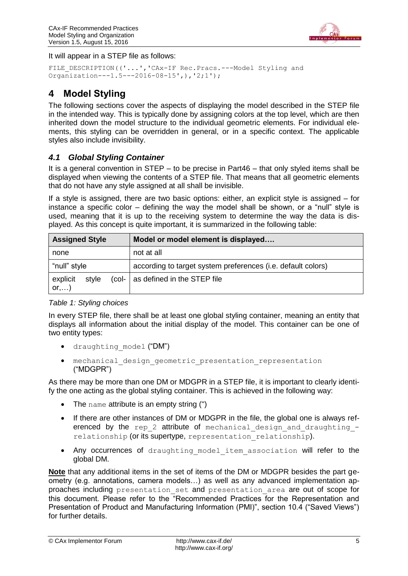

It will appear in a STEP file as follows:

```
FILE DESCRIPTION(('...','CAx-IF Rec.Pracs.---Model Styling and
Organization---1.5---2016-08-15',),'2;1');
```
# <span id="page-4-0"></span>**4 Model Styling**

The following sections cover the aspects of displaying the model described in the STEP file in the intended way. This is typically done by assigning colors at the top level, which are then inherited down the model structure to the individual geometric elements. For individual elements, this styling can be overridden in general, or in a specific context. The applicable styles also include invisibility.

### <span id="page-4-1"></span>*4.1 Global Styling Container*

It is a general convention in STEP – to be precise in Part46 – that only styled items shall be displayed when viewing the contents of a STEP file. That means that all geometric elements that do not have any style assigned at all shall be invisible.

If a style is assigned, there are two basic options: either, an explicit style is assigned – for instance a specific color – defining the way the model shall be shown, or a "null" style is used, meaning that it is up to the receiving system to determine the way the data is displayed. As this concept is quite important, it is summarized in the following table:

| <b>Assigned Style</b>               | Model or model element is displayed                          |
|-------------------------------------|--------------------------------------------------------------|
| none                                | not at all                                                   |
| "null" style                        | according to target system preferences (i.e. default colors) |
| explicit<br>style<br>$or, \ldots$ ) | (col-   as defined in the STEP file                          |

#### <span id="page-4-2"></span>*Table 1: Styling choices*

In every STEP file, there shall be at least one global styling container, meaning an entity that displays all information about the initial display of the model. This container can be one of two entity types:

- draughting model ("DM")
- mechanical\_design\_geometric\_presentation\_representation ("MDGPR")

As there may be more than one DM or MDGPR in a STEP file, it is important to clearly identify the one acting as the global styling container. This is achieved in the following way:

- The name attribute is an empty string (")
- If there are other instances of DM or MDGPR in the file, the global one is always referenced by the rep 2 attribute of mechanical design and draughting  $$ relationship (or its supertype, representation relationship).
- Any occurrences of draughting model item association will refer to the global DM.

**Note** that any additional items in the set of items of the DM or MDGPR besides the part geometry (e.g. annotations, camera models…) as well as any advanced implementation approaches including presentation set and presentation area are out of scope for this document. Please refer to the "Recommended Practices for the Representation and Presentation of Product and Manufacturing Information (PMI)", section 10.4 ("Saved Views") for further details.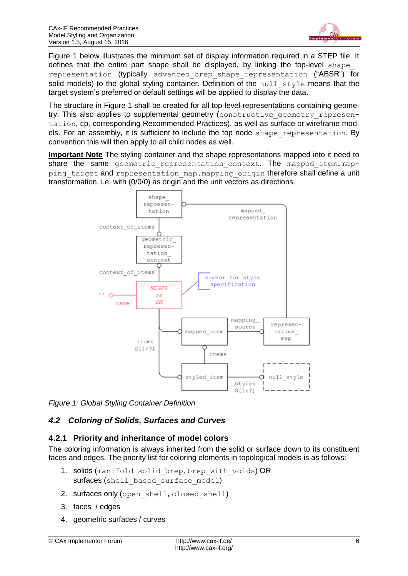

[Figure 1](#page-5-1) below illustrates the minimum set of display information required in a STEP file. It defines that the entire part shape shall be displayed, by linking the top-level shape representation (typically advanced brep shape representation ("ABSR") for solid models) to the global styling container. Definition of the  $null$  style means that the target system's preferred or default settings will be applied to display the data.

The structure in [Figure 1](#page-5-1) shall be created for all top-level representations containing geometry. This also applies to supplemental geometry (constructive geometry representation, cp. corresponding Recommended Practices), as well as surface or wireframe models. For an assembly, it is sufficient to include the top node shape representation. By convention this will then apply to all child nodes as well.

**Important Note** The styling container and the shape representations mapped into it need to share the same geometric representation context. The mapped item.mapping target and representation map.mapping origin therefore shall define a unit transformation, i.e. with (0/0/0) as origin and the unit vectors as directions.



<span id="page-5-1"></span>*Figure 1: Global Styling Container Definition*

## <span id="page-5-0"></span>*4.2 Coloring of Solids, Surfaces and Curves*

### <span id="page-5-2"></span>**4.2.1 Priority and inheritance of model colors**

The coloring information is always inherited from the solid or surface down to its constituent faces and edges. The priority list for coloring elements in topological models is as follows:

- 1. solids (manifold solid brep, brep with voids) OR surfaces (shell based surface model)
- 2. surfaces only (open shell, closed shell)
- 3. faces / edges
- 4. geometric surfaces / curves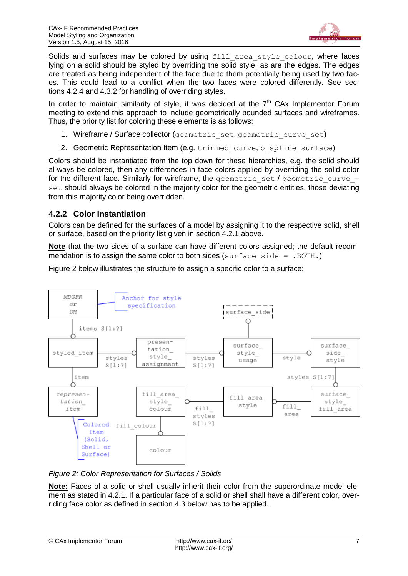

Solids and surfaces may be colored by using fill area style colour, where faces lying on a solid should be styled by overriding the solid style, as are the edges. The edges are treated as being independent of the face due to them potentially being used by two faces. This could lead to a conflict when the two faces were colored differently. See sections [4.2.4](#page-8-1) and [4.3.2](#page-11-1) for handling of overriding styles.

In order to maintain similarity of style, it was decided at the  $7<sup>th</sup>$  CAx Implementor Forum meeting to extend this approach to include geometrically bounded surfaces and wireframes. Thus, the priority list for coloring these elements is as follows:

- 1. Wireframe / Surface collector (geometric set, geometric curve set)
- 2. Geometric Representation Item (e.g. trimmed curve, b spline surface)

Colors should be instantiated from the top down for these hierarchies, e.g. the solid should al-ways be colored, then any differences in face colors applied by overriding the solid color for the different face. Similarly for wireframe, the geometric set / geometric curve set should always be colored in the majority color for the geometric entities, those deviating from this majority color being overridden.

### <span id="page-6-1"></span>**4.2.2 Color Instantiation**

Colors can be defined for the surfaces of a model by assigning it to the respective solid, shell or surface, based on the priority list given in section [4.2.1](#page-5-2) above.

**Note** that the two sides of a surface can have different colors assigned; the default recommendation is to assign the same color to both sides (surface side  $=$  . BOTH.)

[Figure 2](#page-6-0) below illustrates the structure to assign a specific color to a surface:



<span id="page-6-0"></span>*Figure 2: Color Representation for Surfaces / Solids*

**Note:** Faces of a solid or shell usually inherit their color from the superordinate model element as stated in [4.2.1.](#page-5-2) If a particular face of a solid or shell shall have a different color, overriding face color as defined in section [4.3](#page-10-0) below has to be applied.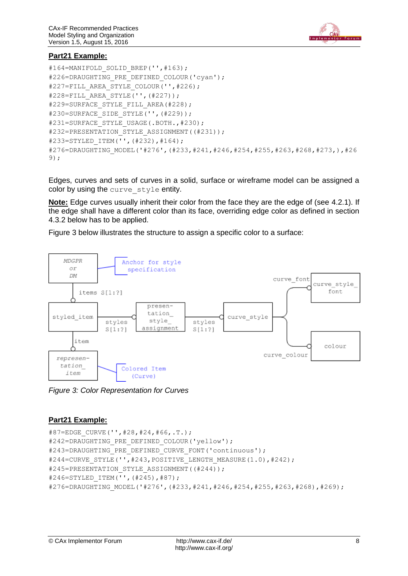

#### **Part21 Example:**

```
#164=MANIFOLD SOLID BREP('', #163);
#226=DRAUGHTING PRE DEFINED COLOUR('cyan');
#227=FILL_AREA_STYLE_COLOUR('', #226);
#228=FILL_AREA_STYLE('',(#227));
#229=SURFACE STYLE FILL AREA(#228);
#230=SURFACE_SIDE_STYLE('',(#229));
#231=SURFACE STYLE USAGE(.BOTH., #230);
#232=PRESENTATION STYLE ASSIGNMENT((#231));
#233=STYLED_ITEM('',(#232),#164);
#276=DRAUGHTING_MODEL('#276',(#233,#241,#246,#254,#255,#263,#268,#273,),#26
9);
```
Edges, curves and sets of curves in a solid, surface or wireframe model can be assigned a color by using the curve style entity.

**Note:** Edge curves usually inherit their color from the face they are the edge of (see [4.2.1\)](#page-5-2). If the edge shall have a different color than its face, overriding edge color as defined in section [4.3.2](#page-11-1) below has to be applied.

[Figure 3](#page-7-0) below illustrates the structure to assign a specific color to a surface:



<span id="page-7-0"></span>*Figure 3: Color Representation for Curves*

#### **Part21 Example:**

```
#87=EDGE_CURVE('',#28,#24,#66,.T.);
#242=DRAUGHTING PRE DEFINED COLOUR('yellow');
#243=DRAUGHTING PRE DEFINED CURVE FONT('continuous');
#244=CURVE STYLE('', #243, POSITIVE LENGTH MEASURE(1.0), #242);
#245=PRESENTATION STYLE ASSIGNMENT((#244));
#246=STYLED_ITEM('',(#245),#87);
#276=DRAUGHTING_MODEL('#276',(#233,#241,#246,#254,#255,#263,#268),#269);
```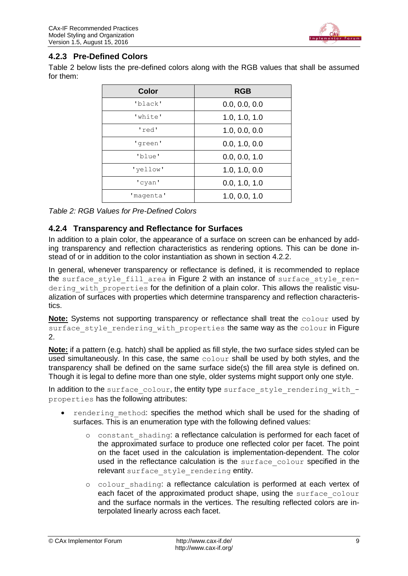

### **4.2.3 Pre-Defined Colors**

[Table 2](#page-8-0) below lists the pre-defined colors along with the RGB values that shall be assumed for them:

| <b>Color</b> | <b>RGB</b>    |
|--------------|---------------|
| 'black'      | 0.0, 0.0, 0.0 |
| 'white'      | 1.0, 1.0, 1.0 |
| 'red'        | 1.0, 0.0, 0.0 |
| 'green'      | 0.0, 1.0, 0.0 |
| 'blue'       | 0.0, 0.0, 1.0 |
| 'vellow'     | 1.0, 1.0, 0.0 |
| 'cyan'       | 0.0, 1.0, 1.0 |
| 'magenta'    | 1.0, 0.0, 1.0 |

<span id="page-8-0"></span>*Table 2: RGB Values for Pre-Defined Colors*

### <span id="page-8-1"></span>**4.2.4 Transparency and Reflectance for Surfaces**

In addition to a plain color, the appearance of a surface on screen can be enhanced by adding transparency and reflection characteristics as rendering options. This can be done instead of or in addition to the color instantiation as shown in section [4.2.2.](#page-6-1)

In general, whenever transparency or reflectance is defined, it is recommended to replace the surface style fill area in [Figure 2](#page-6-0) with an instance of surface style rendering with properties for the definition of a plain color. This allows the realistic visualization of surfaces with properties which determine transparency and reflection characteristics.

**Note:** Systems not supporting transparency or reflectance shall treat the colour used by surface style rendering with properties the same way as the colour in Figure [2.](#page-6-0)

**Note:** if a pattern (e.g. hatch) shall be applied as fill style, the two surface sides styled can be used simultaneously. In this case, the same colour shall be used by both styles, and the transparency shall be defined on the same surface side(s) the fill area style is defined on. Though it is legal to define more than one style, older systems might support only one style.

In addition to the surface colour, the entity type surface style rendering with  $$ properties has the following attributes:

- rendering method: specifies the method which shall be used for the shading of surfaces. This is an enumeration type with the following defined values:
	- o constant\_shading: a reflectance calculation is performed for each facet of the approximated surface to produce one reflected color per facet. The point on the facet used in the calculation is implementation-dependent. The color used in the reflectance calculation is the surface colour specified in the relevant surface style rendering entity.
	- o colour\_shading: a reflectance calculation is performed at each vertex of each facet of the approximated product shape, using the surface colour and the surface normals in the vertices. The resulting reflected colors are interpolated linearly across each facet.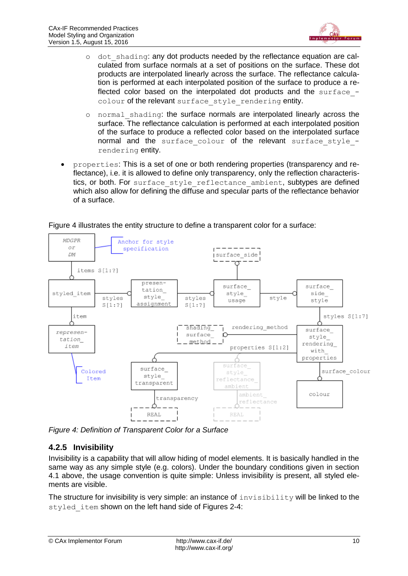

- o dot\_shading: any dot products needed by the reflectance equation are calculated from surface normals at a set of positions on the surface. These dot products are interpolated linearly across the surface. The reflectance calculation is performed at each interpolated position of the surface to produce a reflected color based on the interpolated dot products and the surface  $$ colour of the relevant surface style rendering entity.
- o normal\_shading: the surface normals are interpolated linearly across the surface. The reflectance calculation is performed at each interpolated position of the surface to produce a reflected color based on the interpolated surface normal and the surface colour of the relevant surface style rendering entity.
- properties: This is a set of one or both rendering properties (transparency and reflectance), i.e. it is allowed to define only transparency, only the reflection characteristics, or both. For surface style reflectance ambient, subtypes are defined which also allow for defining the diffuse and specular parts of the reflectance behavior of a surface.



[Figure 4](#page-9-0) illustrates the entity structure to define a transparent color for a surface:

<span id="page-9-0"></span>*Figure 4: Definition of Transparent Color for a Surface*

### <span id="page-9-1"></span>**4.2.5 Invisibility**

Invisibility is a capability that will allow hiding of model elements. It is basically handled in the same way as any simple style (e.g. colors). Under the boundary conditions given in section [4.1](#page-4-1) above, the usage convention is quite simple: Unless invisibility is present, all styled elements are visible.

The structure for invisibility is very simple: an instance of  $\text{inv}$  is  $\text{inv}$  is  $\text{inv}$  will be linked to the styled item shown on the left hand side of Figures 2-4: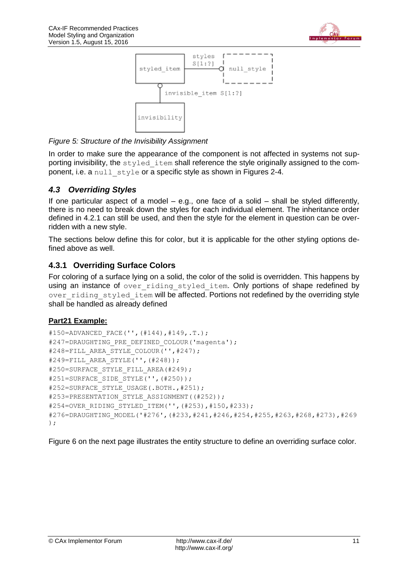



#### <span id="page-10-1"></span>*Figure 5: Structure of the Invisibility Assignment*

In order to make sure the appearance of the component is not affected in systems not supporting invisibility, the  $style$  item shall reference the style originally assigned to the component, i.e. a null style or a specific style as shown in Figures 2-4.

#### <span id="page-10-0"></span>*4.3 Overriding Styles*

If one particular aspect of a model – e.g., one face of a solid – shall be styled differently, there is no need to break down the styles for each individual element. The inheritance order defined in [4.2.1](#page-5-2) can still be used, and then the style for the element in question can be overridden with a new style.

The sections below define this for color, but it is applicable for the other styling options defined above as well.

#### **4.3.1 Overriding Surface Colors**

For coloring of a surface lying on a solid, the color of the solid is overridden. This happens by using an instance of over riding styled item. Only portions of shape redefined by over riding styled item will be affected. Portions not redefined by the overriding style shall be handled as already defined

#### **Part21 Example:**

```
#150=ADVANCED_FACE('',(#144),#149,.T.);
#247=DRAUGHTING PRE DEFINED COLOUR('magenta');
#248=FILL_AREA_STYLE_COLOUR('', #247);
#249=FILL_AREA_STYLE('',(#248));
#250=SURFACE STYLE FILL AREA(#249);
#251=SURFACE_SIDE_STYLE('',(#250));
#252=SURFACE STYLE USAGE(.BOTH., #251);
#253=PRESENTATION STYLE ASSIGNMENT((#252));
#254=OVER RIDING STYLED ITEM('',(#253),#150,#233);
#276=DRAUGHTING_MODEL('#276',(#233,#241,#246,#254,#255,#263,#268,#273),#269
);
```
[Figure 6](#page-11-0) on the next page illustrates the entity structure to define an overriding surface color.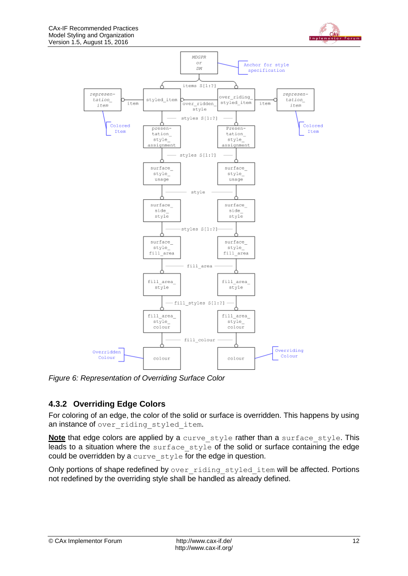



<span id="page-11-0"></span>*Figure 6: Representation of Overriding Surface Color*

## <span id="page-11-1"></span>**4.3.2 Overriding Edge Colors**

For coloring of an edge, the color of the solid or surface is overridden. This happens by using an instance of over riding styled item.

Note that edge colors are applied by a curve style rather than a surface style. This  $\overline{\phantom{a}}$  leads to a situation where the surface style of the solid or surface containing the edge could be overridden by a curve style for the edge in question.

Only portions of shape redefined by over riding styled item will be affected. Portions not redefined by the overriding style shall be handled as already defined.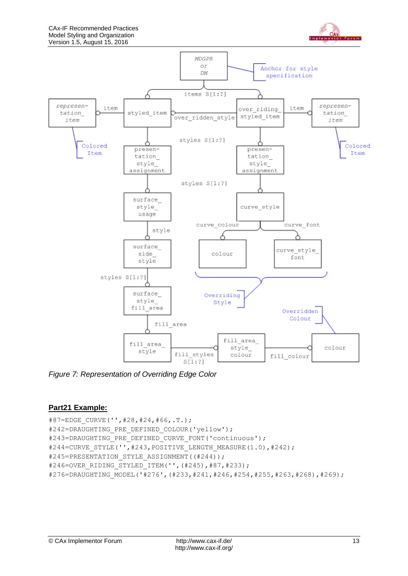



<span id="page-12-0"></span>*Figure 7: Representation of Overriding Edge Color*

#### **Part21 Example:**

```
#87=EDGE_CURVE('',#28,#24,#66,.T.);
#242=DRAUGHTING PRE DEFINED COLOUR('yellow');
#243=DRAUGHTING PRE DEFINED CURVE FONT('continuous');
#244=CURVE_STYLE('',#243, POSITIVE_LENGTH_MEASURE(1.0),#242);
#245=PRESENTATION STYLE ASSIGNMENT((#244));
#246=OVER_RIDING_STYLED_ITEM('',(#245),#87,#233);
#276=DRAUGHTING_MODEL('#276',(#233,#241,#246,#254,#255,#263,#268),#269);
```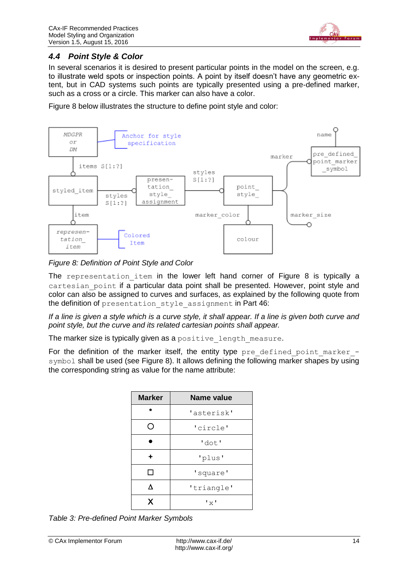

### <span id="page-13-0"></span>*4.4 Point Style & Color*

In several scenarios it is desired to present particular points in the model on the screen, e.g. to illustrate weld spots or inspection points. A point by itself doesn't have any geometric extent, but in CAD systems such points are typically presented using a pre-defined marker, such as a cross or a circle. This marker can also have a color.

[Figure 8](#page-13-1) below illustrates the structure to define point style and color:



<span id="page-13-1"></span>*Figure 8: Definition of Point Style and Color*

The representation item in the lower left hand corner of [Figure 8](#page-13-1) is typically a cartesian point if a particular data point shall be presented. However, point style and color can also be assigned to curves and surfaces, as explained by the following quote from the definition of presentation style assignment in Part 46:

*If a line is given a style which is a curve style, it shall appear. If a line is given both curve and point style, but the curve and its related cartesian points shall appear.*

The marker size is typically given as a positive length measure.

For the definition of the marker itself, the entity type pre defined point marker  $-$ symbol shall be used (see [Figure 8\)](#page-13-1). It allows defining the following marker shapes by using the corresponding string as value for the name attribute:

| <b>Marker</b> | <b>Name value</b> |
|---------------|-------------------|
| ÷             | 'asterisk'        |
|               | 'circle'          |
|               | 'dot'             |
| ٠             | 'plus'            |
| l 1           | 'square'          |
| ٨             | 'triangle'        |
| X             | $"\times"$        |

<span id="page-13-2"></span>*Table 3: Pre-defined Point Marker Symbols*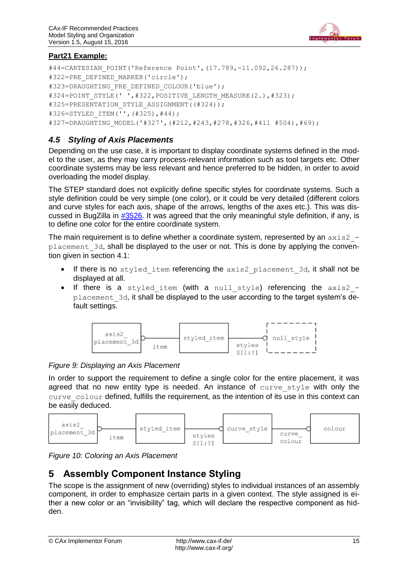

### **Part21 Example:**

```
#44=CARTESIAN_POINT('Reference Point',(17.789,-11.092,26.287));
#322=PRE_DEFINED_MARKER('circle');
#323=DRAUGHTING PRE DEFINED COLOUR('blue');
#324=POINT STYLE(' ',#322, POSITIVE LENGTH MEASURE(2.),#323);
#325=PRESENTATION STYLE ASSIGNMENT((#324));
#326=STYLED_ITEM('',(#325),#44);
#327=DRAUGHTING_MODEL('#327',(#212,#243,#278,#326,#411 #504),#69);
```
### <span id="page-14-0"></span>*4.5 Styling of Axis Placements*

Depending on the use case, it is important to display coordinate systems defined in the model to the user, as they may carry process-relevant information such as tool targets etc. Other coordinate systems may be less relevant and hence preferred to be hidden, in order to avoid overloading the model display.

The STEP standard does not explicitly define specific styles for coordinate systems. Such a style definition could be very simple (one color), or it could be very detailed (different colors and curve styles for each axis, shape of the arrows, lengths of the axes etc.). This was discussed in BugZilla in [#3526.](http://www.wikistep.org/bugzilla/show_bug.cgi?id=3526) It was agreed that the only meaningful style definition, if any, is to define one color for the entire coordinate system.

The main requirement is to define whether a coordinate system, represented by an  $axis2$  placement\_3d, shall be displayed to the user or not. This is done by applying the convention given in section [4.1:](#page-4-1)

- If there is no styled item referencing the axis2 placement 3d, it shall not be displayed at all.
- If there is a styled item (with a null style) referencing the axis2 placement 3d, it shall be displayed to the user according to the target system's default settings.



<span id="page-14-2"></span>*Figure 9: Displaying an Axis Placement*

In order to support the requirement to define a single color for the entire placement, it was agreed that no new entity type is needed. An instance of curve style with only the curve colour defined, fulfills the requirement, as the intention of its use in this context can be easily deduced.



<span id="page-14-3"></span>*Figure 10: Coloring an Axis Placement*

# <span id="page-14-1"></span>**5 Assembly Component Instance Styling**

The scope is the assignment of new (overriding) styles to individual instances of an assembly component, in order to emphasize certain parts in a given context. The style assigned is either a new color or an "invisibility" tag, which will declare the respective component as hidden.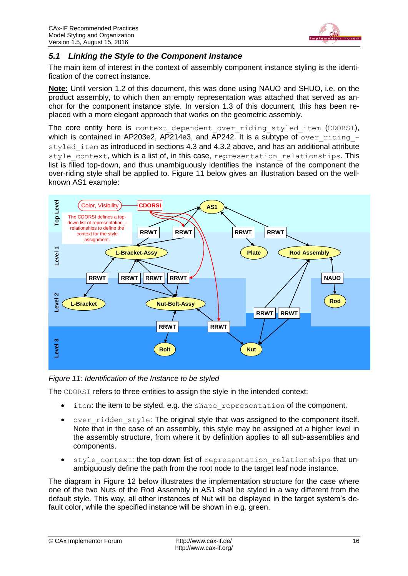

### <span id="page-15-0"></span>*5.1 Linking the Style to the Component Instance*

The main item of interest in the context of assembly component instance styling is the identification of the correct instance.

**Note:** Until version 1.2 of this document, this was done using NAUO and SHUO, i.e. on the product assembly, to which then an empty representation was attached that served as anchor for the component instance style. In version 1.3 of this document, this has been replaced with a more elegant approach that works on the geometric assembly.

The core entity here is context dependent over riding styled item (CDORSI), which is contained in AP203e2, AP214e3, and AP242. It is a subtype of over riding  $-$ styled item as introduced in sections [4.3](#page-10-0) and [4.3.2](#page-11-1) above, and has an additional attribute style context, which is a list of, in this case, representation relationships. This list is filled top-down, and thus unambiguously identifies the instance of the component the over-riding style shall be applied to. [Figure 11](#page-15-1) below gives an illustration based on the wellknown AS1 example:



<span id="page-15-1"></span>*Figure 11: Identification of the Instance to be styled*

The CDORSI refers to three entities to assign the style in the intended context:

- item: the item to be styled, e.g. the shape representation of the component.
- over ridden style: The original style that was assigned to the component itself. Note that in the case of an assembly, this style may be assigned at a higher level in the assembly structure, from where it by definition applies to all sub-assemblies and components.
- style context: the top-down list of representation relationships that unambiguously define the path from the root node to the target leaf node instance.

The diagram in [Figure 12](#page-16-0) below illustrates the implementation structure for the case where one of the two Nuts of the Rod Assembly in AS1 shall be styled in a way different from the default style. This way, all other instances of Nut will be displayed in the target system's de-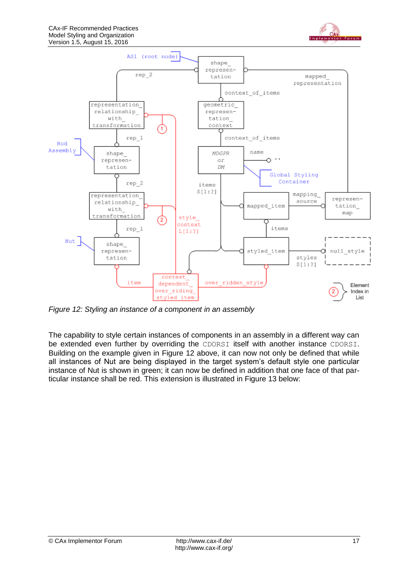



<span id="page-16-0"></span>*Figure 12: Styling an instance of a component in an assembly*

The capability to style certain instances of components in an assembly in a different way can be extended even further by overriding the CDORSI itself with another instance CDORSI. Building on the example given in [Figure 12](#page-16-0) above, it can now not only be defined that while all instances of Nut are being displayed in the target system's default style one particular instance of Nut is shown in green; it can now be defined in addition that one face of that particular instance shall be red. This extension is illustrated in [Figure 13](#page-17-1) below: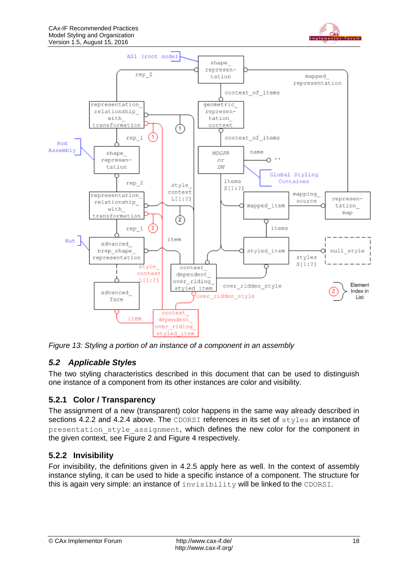



<span id="page-17-1"></span>*Figure 13: Styling a portion of an instance of a component in an assembly*

# <span id="page-17-0"></span>*5.2 Applicable Styles*

The two styling characteristics described in this document that can be used to distinguish one instance of a component from its other instances are color and visibility.

# **5.2.1 Color / Transparency**

The assignment of a new (transparent) color happens in the same way already described in sections [4.2.2](#page-6-1) and [4.2.4](#page-8-1) above. The CDORSI references in its set of styles an instance of presentation style assignment, which defines the new color for the component in the given context, see [Figure 2](#page-6-0) and [Figure 4](#page-9-0) respectively.

# **5.2.2 Invisibility**

For invisibility, the definitions given in [4.2.5](#page-9-1) apply here as well. In the context of assembly instance styling, it can be used to hide a specific instance of a component. The structure for this is again very simple: an instance of invisibility will be linked to the CDORSI.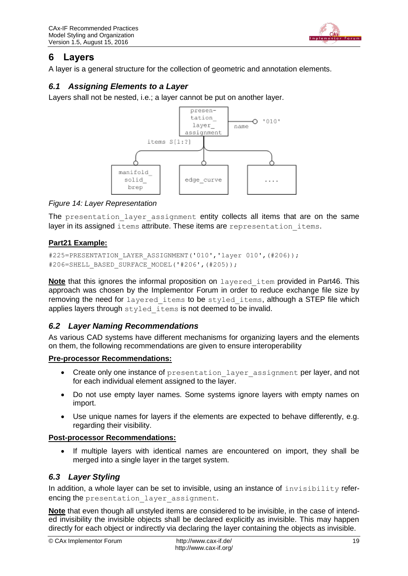

# <span id="page-18-0"></span>**6 Layers**

A layer is a general structure for the collection of geometric and annotation elements.

### <span id="page-18-1"></span>*6.1 Assigning Elements to a Layer*

Layers shall not be nested, i.e.; a layer cannot be put on another layer.



#### <span id="page-18-4"></span>*Figure 14: Layer Representation*

The presentation layer assignment entity collects all items that are on the same layer in its assigned items attribute. These items are representation items.

### **Part21 Example:**

```
#225=PRESENTATION_LAYER_ASSIGNMENT('010','layer 010',(#206));
#206=SHELL_BASED_SURFACE_MODEL('#206',(#205));
```
**Note** that this ignores the informal proposition on layered item provided in Part46. This approach was chosen by the Implementor Forum in order to reduce exchange file size by removing the need for layered items to be styled items, although a STEP file which applies layers through styled items is not deemed to be invalid.

### <span id="page-18-2"></span>*6.2 Layer Naming Recommendations*

As various CAD systems have different mechanisms for organizing layers and the elements on them, the following recommendations are given to ensure interoperability

#### **Pre-processor Recommendations:**

- Create only one instance of presentation layer assignment per layer, and not for each individual element assigned to the layer.
- Do not use empty layer names. Some systems ignore layers with empty names on import.
- Use unique names for layers if the elements are expected to behave differently, e.g. regarding their visibility.

#### **Post-processor Recommendations:**

 If multiple layers with identical names are encountered on import, they shall be merged into a single layer in the target system.

### <span id="page-18-3"></span>*6.3 Layer Styling*

In addition, a whole layer can be set to invisible, using an instance of  $invisibility$  referencing the presentation layer assignment.

**Note** that even though all unstyled items are considered to be invisible, in the case of intended invisibility the invisible objects shall be declared explicitly as invisible. This may happen directly for each object or indirectly via declaring the layer containing the objects as invisible.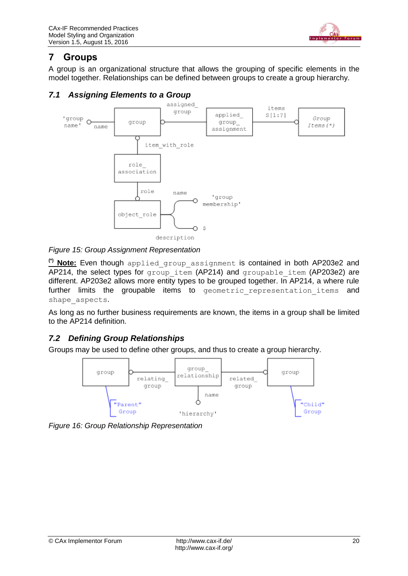

# <span id="page-19-0"></span>**7 Groups**

A group is an organizational structure that allows the grouping of specific elements in the model together. Relationships can be defined between groups to create a group hierarchy.

### <span id="page-19-1"></span>*7.1 Assigning Elements to a Group*



<span id="page-19-3"></span>*Figure 15: Group Assignment Representation*

**(\*) Note:** Even though applied\_group\_assignment is contained in both AP203e2 and AP214, the select types for group item (AP214) and groupable item (AP203e2) are different. AP203e2 allows more entity types to be grouped together. In AP214, a where rule further limits the groupable items to geometric representation items and shape\_aspects.

As long as no further business requirements are known, the items in a group shall be limited to the AP214 definition.

## <span id="page-19-2"></span>*7.2 Defining Group Relationships*

Groups may be used to define other groups, and thus to create a group hierarchy.



<span id="page-19-4"></span>*Figure 16: Group Relationship Representation*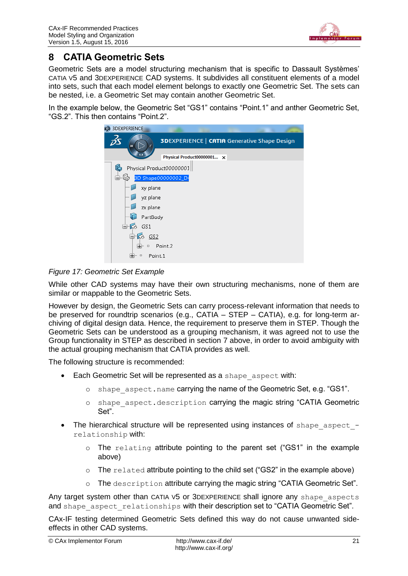

# <span id="page-20-0"></span>**8 CATIA Geometric Sets**

Geometric Sets are a model structuring mechanism that is specific to Dassault Systèmes' CATIA V5 and 3DEXPERIENCE CAD systems. It subdivides all constituent elements of a model into sets, such that each model element belongs to exactly one Geometric Set. The sets can be nested, i.e. a Geometric Set may contain another Geometric Set.

In the example below, the Geometric Set "GS1" contains "Point.1" and anther Geometric Set, "GS.2". This then contains "Point.2".



### <span id="page-20-1"></span>*Figure 17: Geometric Set Example*

While other CAD systems may have their own structuring mechanisms, none of them are similar or mappable to the Geometric Sets.

However by design, the Geometric Sets can carry process-relevant information that needs to be preserved for roundtrip scenarios (e.g., CATIA – STEP – CATIA), e.g. for long-term archiving of digital design data. Hence, the requirement to preserve them in STEP. Though the Geometric Sets can be understood as a grouping mechanism, it was agreed not to use the Group functionality in STEP as described in section [7](#page-19-0) above, in order to avoid ambiguity with the actual grouping mechanism that CATIA provides as well.

The following structure is recommended:

- Each Geometric Set will be represented as a shape aspect with:
	- o shape aspect.name carrying the name of the Geometric Set, e.g. "GS1".
	- o shape\_aspect.description carrying the magic string "CATIA Geometric Set".
- The hierarchical structure will be represented using instances of shape aspect relationship with:
	- $\circ$  The relating attribute pointing to the parent set ("GS1" in the example above)
	- o The related attribute pointing to the child set ("GS2" in the example above)
	- o The description attribute carrying the magic string "CATIA Geometric Set".

Any target system other than CATIA V5 or 3DEXPERIENCE shall ignore any shape aspects and shape aspect relationships with their description set to "CATIA Geometric Set".

CAx-IF testing determined Geometric Sets defined this way do not cause unwanted sideeffects in other CAD systems.